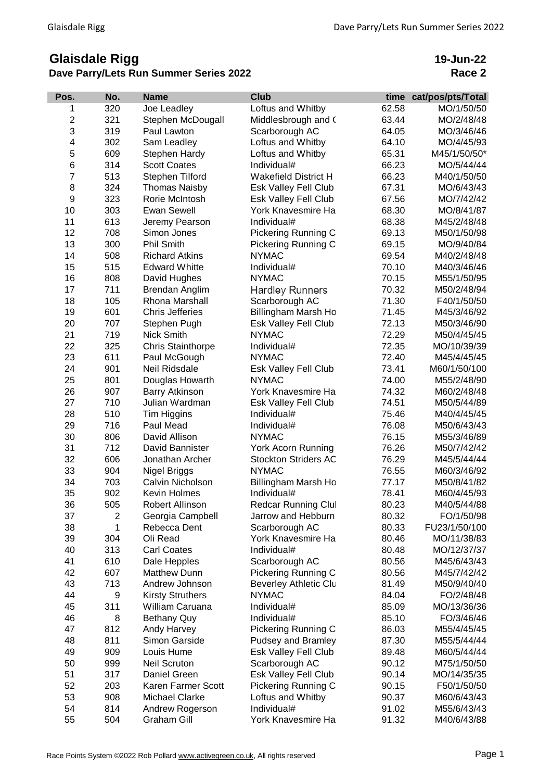## **Glaisdale Rigg Dave Parry/Lets Run Summer Series 2022**

**19-Jun-22 Race 2**

| Pos.                    | No. | <b>Name</b>              | <b>Club</b>                 | time  | cat/pos/pts/Total |
|-------------------------|-----|--------------------------|-----------------------------|-------|-------------------|
| 1                       | 320 | Joe Leadley              | Loftus and Whitby           | 62.58 | MO/1/50/50        |
| $\overline{\mathbf{c}}$ | 321 | Stephen McDougall        | Middlesbrough and (         | 63.44 | MO/2/48/48        |
| 3                       | 319 | Paul Lawton              | Scarborough AC              | 64.05 | MO/3/46/46        |
| 4                       | 302 | Sam Leadley              | Loftus and Whitby           | 64.10 | MO/4/45/93        |
| 5                       | 609 | Stephen Hardy            | Loftus and Whitby           | 65.31 | M45/1/50/50*      |
| 6                       | 314 | <b>Scott Coates</b>      | Individual#                 | 66.23 | MO/5/44/44        |
| $\overline{7}$          | 513 | Stephen Tilford          | <b>Wakefield District H</b> | 66.23 | M40/1/50/50       |
| 8                       | 324 | <b>Thomas Naisby</b>     | Esk Valley Fell Club        | 67.31 | MO/6/43/43        |
| 9                       | 323 | Rorie McIntosh           | Esk Valley Fell Club        | 67.56 | MO/7/42/42        |
| 10                      | 303 | <b>Ewan Sewell</b>       | York Knavesmire Ha          | 68.30 | MO/8/41/87        |
| 11                      | 613 | Jeremy Pearson           | Individual#                 | 68.38 | M45/2/48/48       |
| 12                      | 708 | Simon Jones              | <b>Pickering Running C</b>  | 69.13 | M50/1/50/98       |
| 13                      | 300 | <b>Phil Smith</b>        | Pickering Running C         | 69.15 | MO/9/40/84        |
| 14                      | 508 | <b>Richard Atkins</b>    | <b>NYMAC</b>                | 69.54 | M40/2/48/48       |
| 15                      | 515 | <b>Edward Whitte</b>     | Individual#                 | 70.10 | M40/3/46/46       |
| 16                      | 808 | David Hughes             | <b>NYMAC</b>                | 70.15 | M55/1/50/95       |
| 17                      | 711 | Brendan Anglim           | <b>Hardley Runners</b>      | 70.32 | M50/2/48/94       |
| 18                      | 105 | Rhona Marshall           | Scarborough AC              | 71.30 | F40/1/50/50       |
| 19                      | 601 | <b>Chris Jefferies</b>   | Billingham Marsh Ho         | 71.45 | M45/3/46/92       |
| 20                      | 707 | Stephen Pugh             | Esk Valley Fell Club        | 72.13 | M50/3/46/90       |
| 21                      | 719 | Nick Smith               | <b>NYMAC</b>                | 72.29 | M50/4/45/45       |
| 22                      | 325 | <b>Chris Stainthorpe</b> | Individual#                 | 72.35 | MO/10/39/39       |
| 23                      | 611 | Paul McGough             | <b>NYMAC</b>                | 72.40 | M45/4/45/45       |
| 24                      | 901 | Neil Ridsdale            | Esk Valley Fell Club        | 73.41 | M60/1/50/100      |
| 25                      | 801 | Douglas Howarth          | <b>NYMAC</b>                | 74.00 | M55/2/48/90       |
| 26                      | 907 | <b>Barry Atkinson</b>    | York Knavesmire Ha          | 74.32 | M60/2/48/48       |
| 27                      | 710 | Julian Wardman           | Esk Valley Fell Club        | 74.51 | M50/5/44/89       |
| 28                      | 510 | Tim Higgins              | Individual#                 | 75.46 | M40/4/45/45       |
| 29                      | 716 | Paul Mead                | Individual#                 | 76.08 | M50/6/43/43       |
| 30                      | 806 | David Allison            | <b>NYMAC</b>                | 76.15 | M55/3/46/89       |
| 31                      | 712 | David Bannister          | York Acorn Running          | 76.26 | M50/7/42/42       |
| 32                      | 606 | Jonathan Archer          | <b>Stockton Striders AC</b> | 76.29 | M45/5/44/44       |
| 33                      | 904 | Nigel Briggs             | <b>NYMAC</b>                | 76.55 | M60/3/46/92       |
| 34                      | 703 | Calvin Nicholson         | Billingham Marsh Ho         | 77.17 | M50/8/41/82       |
| 35                      | 902 | Kevin Holmes             | Individual#                 | 78.41 | M60/4/45/93       |
| 36                      | 505 | Robert Allinson          | Redcar Running Clul         | 80.23 | M40/5/44/88       |
| 37                      | 2   | Georgia Campbell         | Jarrow and Hebburn          | 80.32 | FO/1/50/98        |
| 38                      | 1   | Rebecca Dent             | Scarborough AC              | 80.33 | FU23/1/50/100     |
| 39                      | 304 | Oli Read                 | York Knavesmire Ha          | 80.46 | MO/11/38/83       |
| 40                      | 313 | <b>Carl Coates</b>       | Individual#                 | 80.48 | MO/12/37/37       |
| 41                      | 610 | Dale Hepples             | Scarborough AC              | 80.56 | M45/6/43/43       |
| 42                      | 607 | <b>Matthew Dunn</b>      | <b>Pickering Running C</b>  | 80.56 | M45/7/42/42       |
| 43                      | 713 | Andrew Johnson           | Beverley Athletic Clu       | 81.49 | M50/9/40/40       |
| 44                      | 9   | <b>Kirsty Struthers</b>  | <b>NYMAC</b>                | 84.04 | FO/2/48/48        |
| 45                      | 311 | William Caruana          | Individual#                 | 85.09 | MO/13/36/36       |
| 46                      | 8   | <b>Bethany Quy</b>       | Individual#                 | 85.10 | FO/3/46/46        |
| 47                      | 812 | Andy Harvey              | <b>Pickering Running C</b>  | 86.03 | M55/4/45/45       |
| 48                      | 811 | Simon Garside            | Pudsey and Bramley          | 87.30 | M55/5/44/44       |
| 49                      | 909 | Louis Hume               | Esk Valley Fell Club        | 89.48 | M60/5/44/44       |
| 50                      | 999 | <b>Neil Scruton</b>      | Scarborough AC              | 90.12 | M75/1/50/50       |
| 51                      | 317 | Daniel Green             | Esk Valley Fell Club        | 90.14 | MO/14/35/35       |
| 52                      | 203 | Karen Farmer Scott       | Pickering Running C         | 90.15 | F50/1/50/50       |
| 53                      | 908 | Michael Clarke           | Loftus and Whitby           | 90.37 | M60/6/43/43       |
| 54                      | 814 | Andrew Rogerson          | Individual#                 | 91.02 | M55/6/43/43       |
| 55                      | 504 | Graham Gill              | York Knavesmire Ha          | 91.32 | M40/6/43/88       |